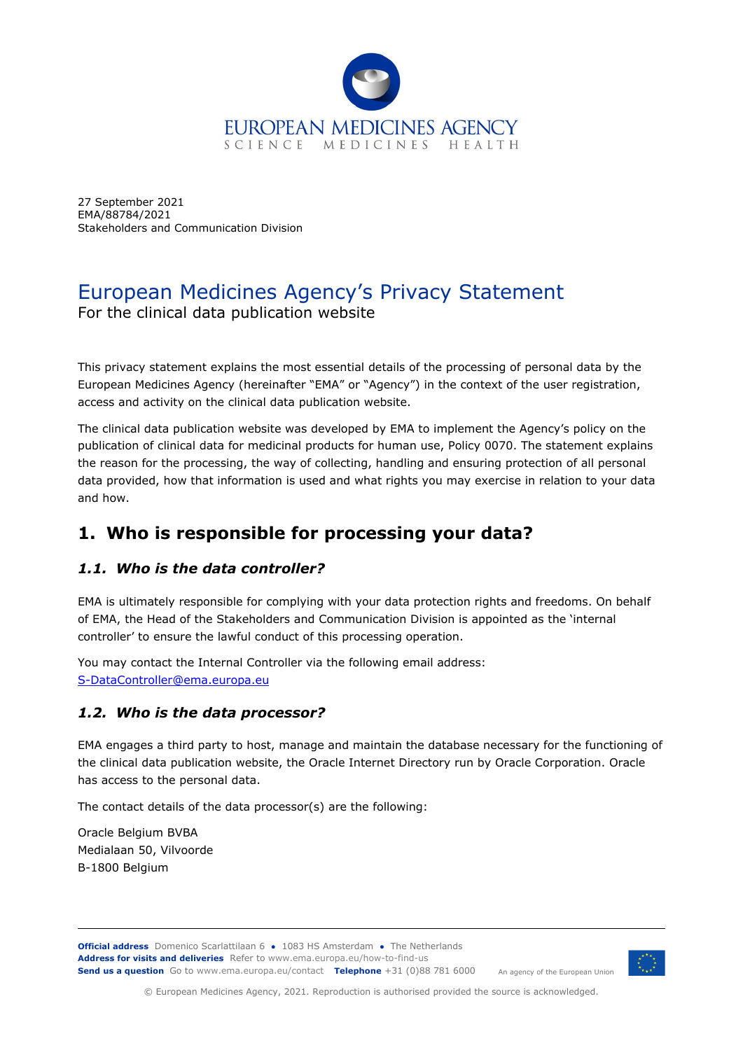

27 September 2021 EMA/88784/2021 Stakeholders and Communication Division

## European Medicines Agency's Privacy Statement For the clinical data publication website

This privacy statement explains the most essential details of the processing of personal data by the European Medicines Agency (hereinafter "EMA" or "Agency") in the context of the user registration, access and activity on the clinical data publication website.

The clinical data publication website was developed by EMA to implement the Agency's policy on the publication of clinical data for medicinal products for human use, Policy 0070. The statement explains the reason for the processing, the way of collecting, handling and ensuring protection of all personal data provided, how that information is used and what rights you may exercise in relation to your data and how.

# **1. Who is responsible for processing your data?**

### *1.1. Who is the data controller?*

EMA is ultimately responsible for complying with your data protection rights and freedoms. On behalf of EMA, the Head of the Stakeholders and Communication Division is appointed as the 'internal controller' to ensure the lawful conduct of this processing operation.

You may contact the Internal Controller via the following email address: [S-DataController@ema.europa.eu](mailto:S-DataController@ema.europa.eu)

#### *1.2. Who is the data processor?*

EMA engages a third party to host, manage and maintain the database necessary for the functioning of the clinical data publication website, the Oracle Internet Directory run by Oracle Corporation. Oracle has access to the personal data.

The contact details of the data processor(s) are the following:

Oracle Belgium BVBA Medialaan 50, Vilvoorde B-1800 Belgium

**Official address** Domenico Scarlattilaan 6 **●** 1083 HS Amsterdam **●** The Netherlands An agency of the European Union **Address for visits and deliveries** Refer to www.ema.europa.eu/how-to-find-us **Send us a question** Go to www.ema.europa.eu/contact **Telephone** +31 (0)88 781 6000



© European Medicines Agency, 2021. Reproduction is authorised provided the source is acknowledged.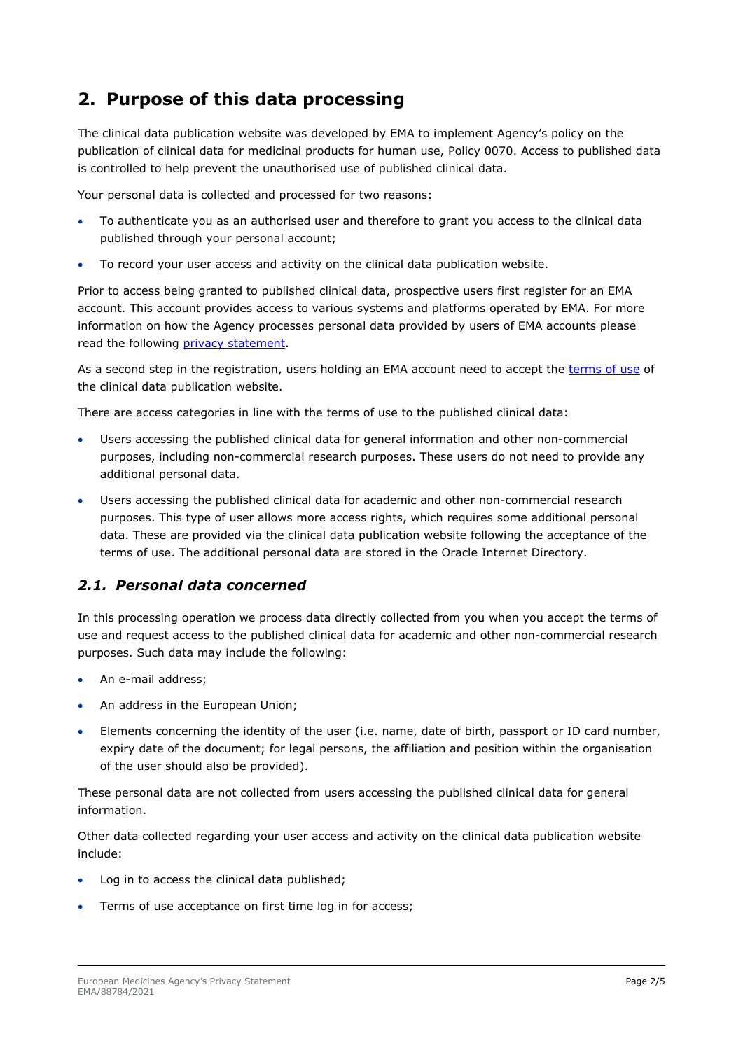# **2. Purpose of this data processing**

The clinical data publication website was developed by EMA to implement Agency's policy on the publication of clinical data for medicinal products for human use, Policy 0070. Access to published data is controlled to help prevent the unauthorised use of published clinical data.

Your personal data is collected and processed for two reasons:

- To authenticate you as an authorised user and therefore to grant you access to the clinical data published through your personal account;
- To record your user access and activity on the clinical data publication website.

Prior to access being granted to published clinical data, prospective users first register for an EMA account. This account provides access to various systems and platforms operated by EMA. For more information on how the Agency processes personal data provided by users of EMA accounts please read the following [privacy statement.](https://www.ema.europa.eu/en/documents/other/european-medicines-agencys-privacy-statement-ema-account-management-system_en.pdf)

As a second step in the registration, users holding an EMA account need to accept the [terms of use](https://clinicaldata.ema.europa.eu/web/cdp/termsofuse) of the clinical data publication website.

There are access categories in line with the terms of use to the published clinical data:

- Users accessing the published clinical data for general information and other non-commercial purposes, including non-commercial research purposes. These users do not need to provide any additional personal data.
- Users accessing the published clinical data for academic and other non-commercial research purposes. This type of user allows more access rights, which requires some additional personal data. These are provided via the clinical data publication website following the acceptance of the terms of use. The additional personal data are stored in the Oracle Internet Directory.

#### *2.1. Personal data concerned*

In this processing operation we process data directly collected from you when you accept the terms of use and request access to the published clinical data for academic and other non-commercial research purposes. Such data may include the following:

- An e-mail address;
- An address in the European Union;
- Elements concerning the identity of the user (i.e. name, date of birth, passport or ID card number, expiry date of the document; for legal persons, the affiliation and position within the organisation of the user should also be provided).

These personal data are not collected from users accessing the published clinical data for general information.

Other data collected regarding your user access and activity on the clinical data publication website include:

- Log in to access the clinical data published;
- Terms of use acceptance on first time log in for access;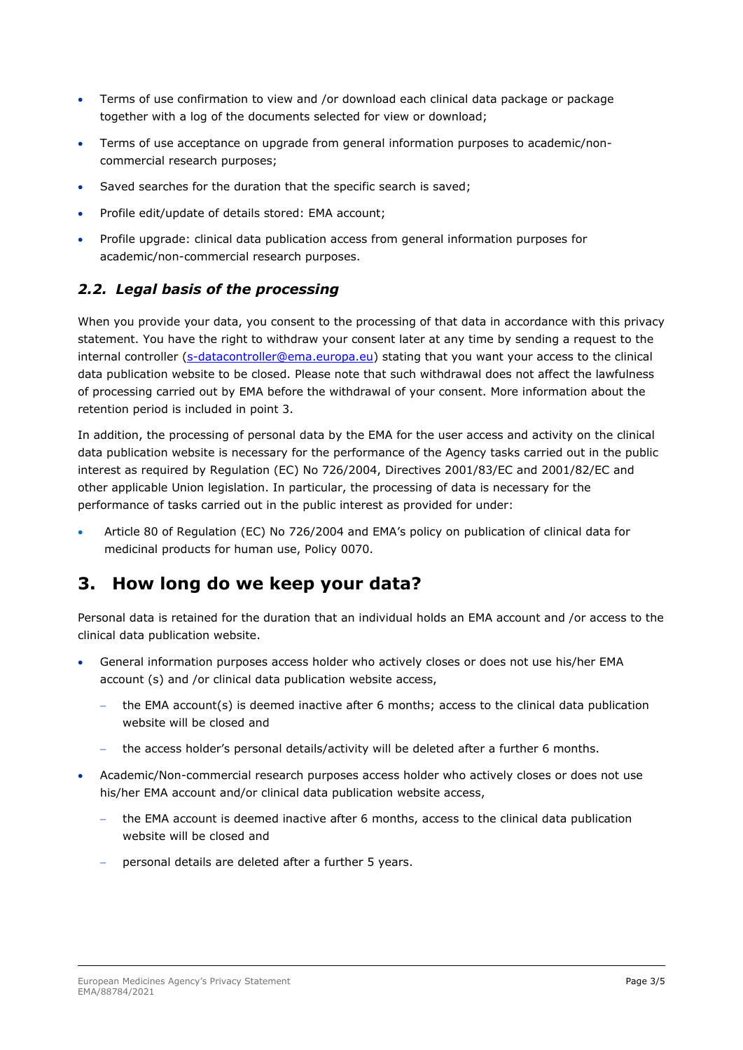- Terms of use confirmation to view and /or download each clinical data package or package together with a log of the documents selected for view or download;
- Terms of use acceptance on upgrade from general information purposes to academic/noncommercial research purposes;
- Saved searches for the duration that the specific search is saved;
- Profile edit/update of details stored: EMA account;
- Profile upgrade: clinical data publication access from general information purposes for academic/non-commercial research purposes.

### *2.2. Legal basis of the processing*

When you provide your data, you consent to the processing of that data in accordance with this privacy statement. You have the right to withdraw your consent later at any time by sending a request to the internal controller [\(s-datacontroller@ema.europa.eu\)](mailto:s-datacontroller@ema.europa.eu) stating that you want your access to the clinical data publication website to be closed. Please note that such withdrawal does not affect the lawfulness of processing carried out by EMA before the withdrawal of your consent. More information about the retention period is included in point 3.

In addition, the processing of personal data by the EMA for the user access and activity on the clinical data publication website is necessary for the performance of the Agency tasks carried out in the public interest as required by Regulation (EC) No 726/2004, Directives 2001/83/EC and 2001/82/EC and other applicable Union legislation. In particular, the processing of data is necessary for the performance of tasks carried out in the public interest as provided for under:

• Article 80 of Regulation (EC) No 726/2004 and EMA's policy on publication of clinical data for medicinal products for human use, Policy 0070.

## **3. How long do we keep your data?**

Personal data is retained for the duration that an individual holds an EMA account and /or access to the clinical data publication website.

- General information purposes access holder who actively closes or does not use his/her EMA account (s) and /or clinical data publication website access,
	- − the EMA account(s) is deemed inactive after 6 months; access to the clinical data publication website will be closed and
	- − the access holder's personal details/activity will be deleted after a further 6 months.
- Academic/Non-commercial research purposes access holder who actively closes or does not use his/her EMA account and/or clinical data publication website access,
	- the EMA account is deemed inactive after 6 months, access to the clinical data publication website will be closed and
	- personal details are deleted after a further 5 years.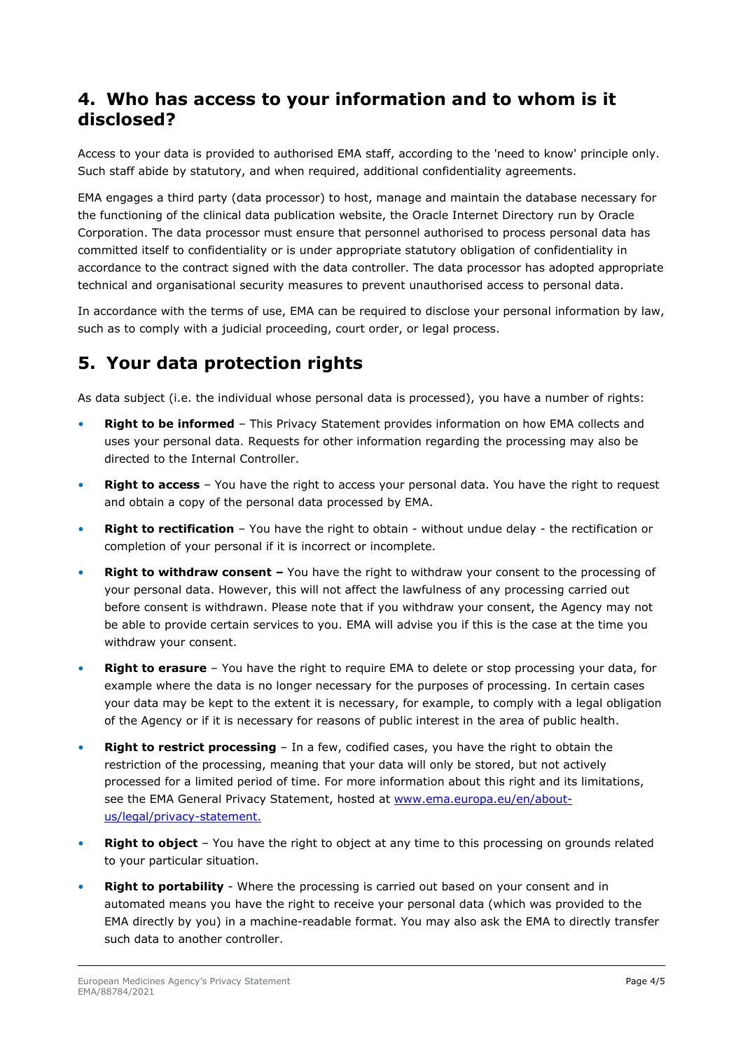### **4. Who has access to your information and to whom is it disclosed?**

Access to your data is provided to authorised EMA staff, according to the 'need to know' principle only. Such staff abide by statutory, and when required, additional confidentiality agreements.

EMA engages a third party (data processor) to host, manage and maintain the database necessary for the functioning of the clinical data publication website, the Oracle Internet Directory run by Oracle Corporation. The data processor must ensure that personnel authorised to process personal data has committed itself to confidentiality or is under appropriate statutory obligation of confidentiality in accordance to the contract signed with the data controller. The data processor has adopted appropriate technical and organisational security measures to prevent unauthorised access to personal data.

In accordance with the terms of use, EMA can be required to disclose your personal information by law, such as to comply with a judicial proceeding, court order, or legal process.

# **5. Your data protection rights**

As data subject (i.e. the individual whose personal data is processed), you have a number of rights:

- **Right to be informed** This Privacy Statement provides information on how EMA collects and uses your personal data. Requests for other information regarding the processing may also be directed to the Internal Controller.
- **Right to access**  You have the right to access your personal data. You have the right to request and obtain a copy of the personal data processed by EMA.
- **Right to rectification** You have the right to obtain without undue delay the rectification or completion of your personal if it is incorrect or incomplete.
- **Right to withdraw consent –** You have the right to withdraw your consent to the processing of your personal data. However, this will not affect the lawfulness of any processing carried out before consent is withdrawn. Please note that if you withdraw your consent, the Agency may not be able to provide certain services to you. EMA will advise you if this is the case at the time you withdraw your consent.
- **Right to erasure** You have the right to require EMA to delete or stop processing your data, for example where the data is no longer necessary for the purposes of processing. In certain cases your data may be kept to the extent it is necessary, for example, to comply with a legal obligation of the Agency or if it is necessary for reasons of public interest in the area of public health.
- **Right to restrict processing** In a few, codified cases, you have the right to obtain the restriction of the processing, meaning that your data will only be stored, but not actively processed for a limited period of time. For more information about this right and its limitations, see the EMA General Privacy Statement, hosted at [www.ema.europa.eu/en/about](http://www.ema.europa.eu/en/about-us/legal/privacy-statement)[us/legal/privacy-statement.](http://www.ema.europa.eu/en/about-us/legal/privacy-statement)
- **Right to object** You have the right to object at any time to this processing on grounds related to your particular situation.
- **Right to portability** Where the processing is carried out based on your consent and in automated means you have the right to receive your personal data (which was provided to the EMA directly by you) in a machine-readable format. You may also ask the EMA to directly transfer such data to another controller.